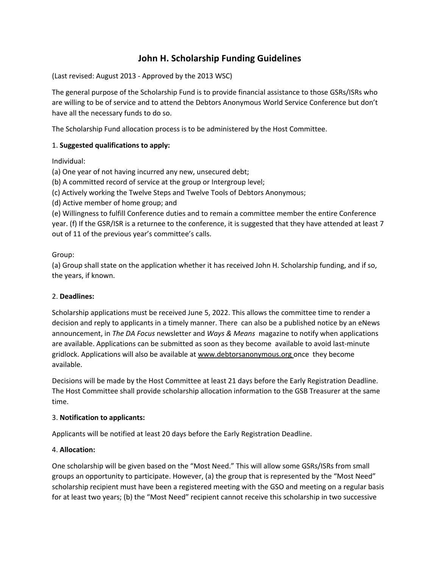# **John H. Scholarship Funding Guidelines**

(Last revised: August 2013 - Approved by the 2013 WSC)

The general purpose of the Scholarship Fund is to provide financial assistance to those GSRs/ISRs who are willing to be of service and to attend the Debtors Anonymous World Service Conference but don't have all the necessary funds to do so.

The Scholarship Fund allocation process is to be administered by the Host Committee.

## 1. **Suggested qualifications to apply:**

Individual:

(a) One year of not having incurred any new, unsecured debt;

(b) A committed record of service at the group or Intergroup level;

(c) Actively working the Twelve Steps and Twelve Tools of Debtors Anonymous;

(d) Active member of home group; and

(e) Willingness to fulfill Conference duties and to remain a committee member the entire Conference year. (f) If the GSR/ISR is a returnee to the conference, it is suggested that they have attended at least 7 out of 11 of the previous year's committee's calls.

#### Group:

(a) Group shall state on the application whether it has received John H. Scholarship funding, and if so, the years, if known.

#### 2. **Deadlines:**

Scholarship applications must be received June 5, 2022. This allows the committee time to render a decision and reply to applicants in a timely manner. There can also be a published notice by an eNews announcement, in *The DA Focus* newsletter and *Ways & Means* magazine to notify when applications are available. Applications can be submitted as soon as they become available to avoid last-minute gridlock. Applications will also be available at www.debtorsanonymous.org once they become available.

Decisions will be made by the Host Committee at least 21 days before the Early Registration Deadline. The Host Committee shall provide scholarship allocation information to the GSB Treasurer at the same time.

#### 3. **Notification to applicants:**

Applicants will be notified at least 20 days before the Early Registration Deadline.

# 4. **Allocation:**

One scholarship will be given based on the "Most Need." This will allow some GSRs/ISRs from small groups an opportunity to participate. However, (a) the group that is represented by the "Most Need" scholarship recipient must have been a registered meeting with the GSO and meeting on a regular basis for at least two years; (b) the "Most Need" recipient cannot receive this scholarship in two successive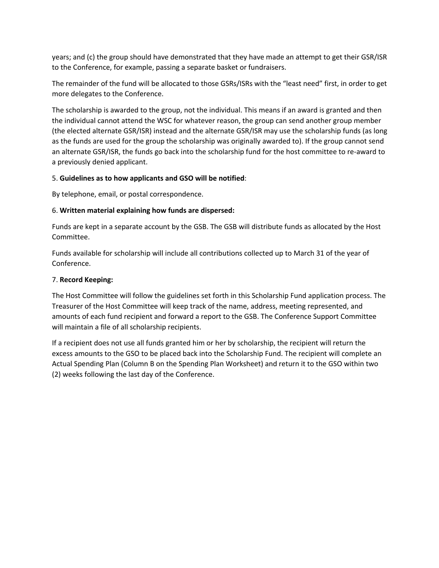years; and (c) the group should have demonstrated that they have made an attempt to get their GSR/ISR to the Conference, for example, passing a separate basket or fundraisers.

The remainder of the fund will be allocated to those GSRs/ISRs with the "least need" first, in order to get more delegates to the Conference.

The scholarship is awarded to the group, not the individual. This means if an award is granted and then the individual cannot attend the WSC for whatever reason, the group can send another group member (the elected alternate GSR/ISR) instead and the alternate GSR/ISR may use the scholarship funds (as long as the funds are used for the group the scholarship was originally awarded to). If the group cannot send an alternate GSR/ISR, the funds go back into the scholarship fund for the host committee to re-award to a previously denied applicant.

### 5. **Guidelines as to how applicants and GSO will be notified**:

By telephone, email, or postal correspondence.

### 6. **Written material explaining how funds are dispersed:**

Funds are kept in a separate account by the GSB. The GSB will distribute funds as allocated by the Host Committee.

Funds available for scholarship will include all contributions collected up to March 31 of the year of Conference.

## 7. **Record Keeping:**

The Host Committee will follow the guidelines set forth in this Scholarship Fund application process. The Treasurer of the Host Committee will keep track of the name, address, meeting represented, and amounts of each fund recipient and forward a report to the GSB. The Conference Support Committee will maintain a file of all scholarship recipients.

If a recipient does not use all funds granted him or her by scholarship, the recipient will return the excess amounts to the GSO to be placed back into the Scholarship Fund. The recipient will complete an Actual Spending Plan (Column B on the Spending Plan Worksheet) and return it to the GSO within two (2) weeks following the last day of the Conference.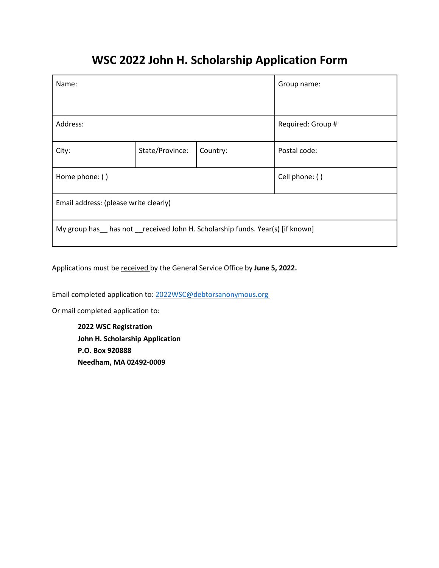# **WSC 2022 John H. Scholarship Application Form**

| Name:                                                                       |                 |          | Group name:       |  |  |
|-----------------------------------------------------------------------------|-----------------|----------|-------------------|--|--|
| Address:                                                                    |                 |          | Required: Group # |  |  |
| City:                                                                       | State/Province: | Country: | Postal code:      |  |  |
| Home phone: ()                                                              |                 |          | Cell phone: ()    |  |  |
| Email address: (please write clearly)                                       |                 |          |                   |  |  |
| My group has has not received John H. Scholarship funds. Year(s) [if known] |                 |          |                   |  |  |

Applications must be received by the General Service Office by **June 5, 2022.**

Email completed application to: 2022WSC@debtorsanonymous.org

Or mail completed application to:

**2022 WSC Registration John H. Scholarship Application P.O. Box 920888 Needham, MA 02492-0009**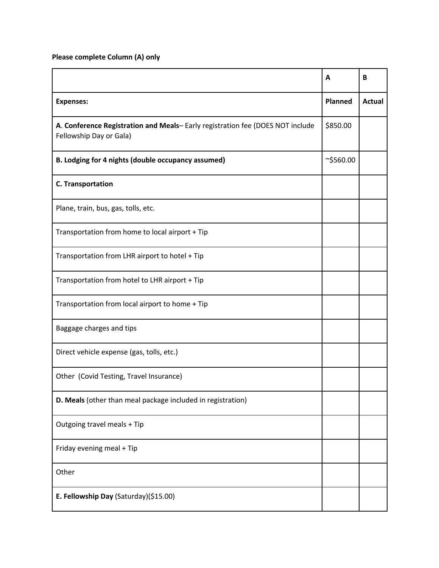**Please complete Column (A) only**

|                                                                                                          | A               | B             |
|----------------------------------------------------------------------------------------------------------|-----------------|---------------|
| <b>Expenses:</b>                                                                                         | <b>Planned</b>  | <b>Actual</b> |
| A. Conference Registration and Meals-Early registration fee (DOES NOT include<br>Fellowship Day or Gala) |                 |               |
| B. Lodging for 4 nights (double occupancy assumed)                                                       | $\sim$ \$560.00 |               |
| <b>C. Transportation</b>                                                                                 |                 |               |
| Plane, train, bus, gas, tolls, etc.                                                                      |                 |               |
| Transportation from home to local airport + Tip                                                          |                 |               |
| Transportation from LHR airport to hotel + Tip                                                           |                 |               |
| Transportation from hotel to LHR airport + Tip                                                           |                 |               |
| Transportation from local airport to home + Tip                                                          |                 |               |
| Baggage charges and tips                                                                                 |                 |               |
| Direct vehicle expense (gas, tolls, etc.)                                                                |                 |               |
| Other (Covid Testing, Travel Insurance)                                                                  |                 |               |
| D. Meals (other than meal package included in registration)                                              |                 |               |
| Outgoing travel meals + Tip                                                                              |                 |               |
| Friday evening meal + Tip                                                                                |                 |               |
| Other                                                                                                    |                 |               |
| E. Fellowship Day (Saturday)(\$15.00)                                                                    |                 |               |